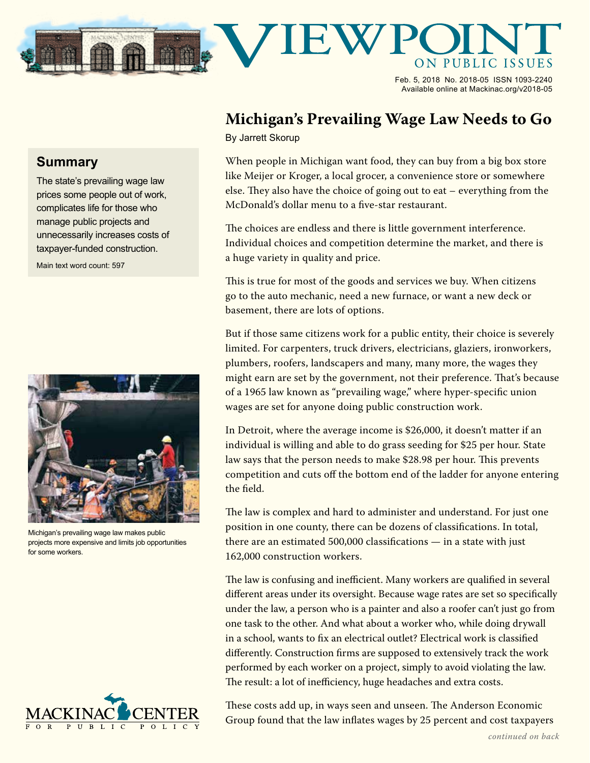

Feb. 5, 2018 No. 2018-05 ISSN 1093-2240 Available online at Mackinac.org/v2018-05

## **Michigan's Prevailing Wage Law Needs to Go**

By Jarrett Skorup

When people in Michigan want food, they can buy from a big box store like Meijer or Kroger, a local grocer, a convenience store or somewhere else. They also have the choice of going out to eat – everything from the McDonald's dollar menu to a five-star restaurant.

The choices are endless and there is little government interference. Individual choices and competition determine the market, and there is a huge variety in quality and price.

This is true for most of the goods and services we buy. When citizens go to the auto mechanic, need a new furnace, or want a new deck or basement, there are lots of options.

But if those same citizens work for a public entity, their choice is severely limited. For carpenters, truck drivers, electricians, glaziers, ironworkers, plumbers, roofers, landscapers and many, many more, the wages they might earn are set by the government, not their preference. That's because of a 1965 law known as "prevailing wage," where hyper-specific union wages are set for anyone doing public construction work.

In Detroit, where the average income is \$26,000, it doesn't matter if an individual is willing and able to do grass seeding for \$25 per hour. State law says that the person needs to make \$28.98 per hour. This prevents competition and cuts off the bottom end of the ladder for anyone entering the field.

The law is complex and hard to administer and understand. For just one position in one county, there can be dozens of classifications. In total, there are an estimated 500,000 classifications — in a state with just 162,000 construction workers.

The law is confusing and inefficient. Many workers are qualified in several different areas under its oversight. Because wage rates are set so specifically under the law, a person who is a painter and also a roofer can't just go from one task to the other. And what about a worker who, while doing drywall in a school, wants to fix an electrical outlet? Electrical work is classified differently. Construction firms are supposed to extensively track the work performed by each worker on a project, simply to avoid violating the law. The result: a lot of inefficiency, huge headaches and extra costs.

These costs add up, in ways seen and unseen. The Anderson Economic Group found that the law inflates wages by 25 percent and cost taxpayers

## **Summary**

The state's prevailing wage law prices some people out of work, complicates life for those who manage public projects and unnecessarily increases costs of taxpayer-funded construction. Main text word count: 597



Michigan's prevailing wage law makes public projects more expensive and limits job opportunities for some workers.